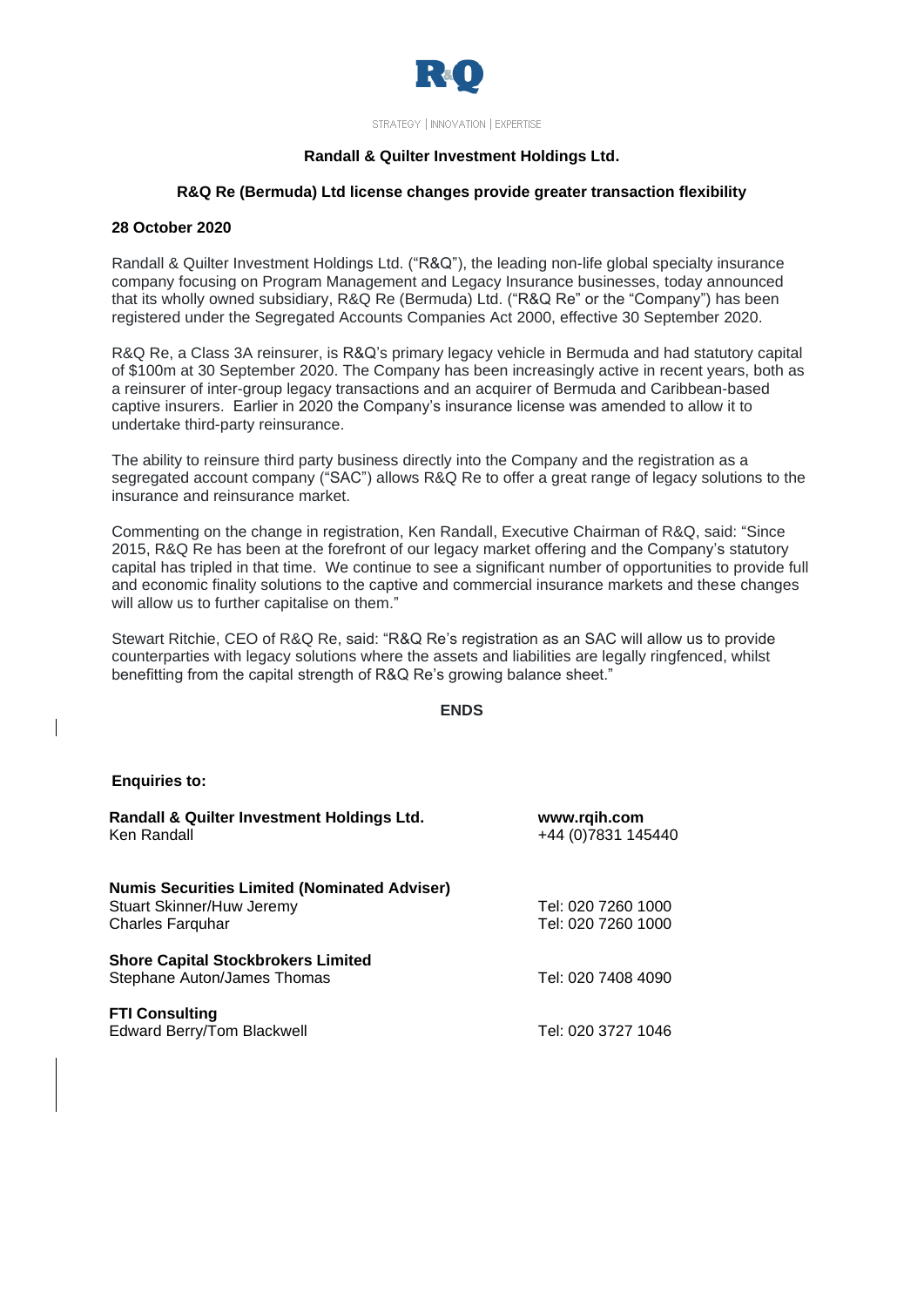

STRATEGY | INNOVATION | EXPERTISE

# **Randall & Quilter Investment Holdings Ltd.**

#### **R&Q Re (Bermuda) Ltd license changes provide greater transaction flexibility**

#### **28 October 2020**

Randall & Quilter Investment Holdings Ltd. ("R&Q"), the leading non-life global specialty insurance company focusing on Program Management and Legacy Insurance businesses, today announced that its wholly owned subsidiary, R&Q Re (Bermuda) Ltd. ("R&Q Re" or the "Company") has been registered under the Segregated Accounts Companies Act 2000, effective 30 September 2020.

R&Q Re, a Class 3A reinsurer, is R&Q's primary legacy vehicle in Bermuda and had statutory capital of \$100m at 30 September 2020. The Company has been increasingly active in recent years, both as a reinsurer of inter-group legacy transactions and an acquirer of Bermuda and Caribbean-based captive insurers. Earlier in 2020 the Company's insurance license was amended to allow it to undertake third-party reinsurance.

The ability to reinsure third party business directly into the Company and the registration as a segregated account company ("SAC") allows R&Q Re to offer a great range of legacy solutions to the insurance and reinsurance market.

Commenting on the change in registration, Ken Randall, Executive Chairman of R&Q, said: "Since 2015, R&Q Re has been at the forefront of our legacy market offering and the Company's statutory capital has tripled in that time. We continue to see a significant number of opportunities to provide full and economic finality solutions to the captive and commercial insurance markets and these changes will allow us to further capitalise on them."

Stewart Ritchie, CEO of R&Q Re, said: "R&Q Re's registration as an SAC will allow us to provide counterparties with legacy solutions where the assets and liabilities are legally ringfenced, whilst benefitting from the capital strength of R&Q Re's growing balance sheet."

### **ENDS**

#### **Enquiries to:**

| Randall & Quilter Investment Holdings Ltd.<br>Ken Randall                                                   | www.rqih.com<br>+44 (0) 7831 145440      |
|-------------------------------------------------------------------------------------------------------------|------------------------------------------|
| <b>Numis Securities Limited (Nominated Adviser)</b><br>Stuart Skinner/Huw Jeremy<br><b>Charles Farguhar</b> | Tel: 020 7260 1000<br>Tel: 020 7260 1000 |
| <b>Shore Capital Stockbrokers Limited</b><br>Stephane Auton/James Thomas                                    | Tel: 020 7408 4090                       |
| <b>FTI Consulting</b><br>Edward Berry/Tom Blackwell                                                         | Tel: 020 3727 1046                       |